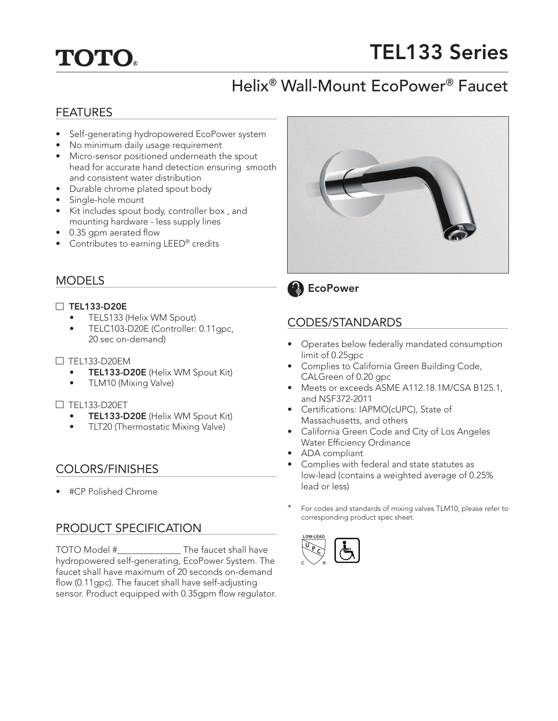# **TOTO.**

# TEL133 Series

# Helix® Wall-Mount EcoPower® Faucet

# FEATURES

- Self-generating hydropowered EcoPower system
- No minimum daily usage requirement
- Micro-sensor positioned underneath the spout head for accurate hand detection ensuring smooth and consistent water distribution
- Durable chrome plated spout body
- Single-hole mount
- Kit includes spout body, controller box , and mounting hardware - less supply lines
- 0.35 gpm aerated flow
- Contributes to earning LEED<sup>®</sup> credits

# MODELS

## $\Box$  TEL133-D20E

- TELS133 (Helix WM Spout)
- TELC103-D20E (Controller: 0.11gpc, 20 sec on-demand)
- $\Box$  TEL133-D20EM
	- TEL133-D20E (Helix WM Spout Kit)
	- TLM10 (Mixing Valve)

### $\Box$  TEL133-D20ET

- TEL133-D20E (Helix WM Spout Kit)
- TLT20 (Thermostatic Mixing Valve)

# COLORS/FINISHES

• #CP Polished Chrome

# PRODUCT SPECIFICATION

TOTO Model #\_\_\_\_\_\_\_\_\_\_\_\_\_\_ The faucet shall have hydropowered self-generating, EcoPower System. The faucet shall have maximum of 20 seconds on-demand flow (0.11gpc). The faucet shall have self-adjusting sensor. Product equipped with 0.35gpm flow regulator.





# CODES/STANDARDS

- Operates below federally mandated consumption limit of 0.25gpc
- Complies to California Green Building Code, CALGreen of 0.20 gpc
- Meets or exceeds ASME A112.18.1M/CSA B125.1, and NSF372-2011
- Certifications: IAPMO(cUPC), State of Massachusetts, and others
- California Green Code and City of Los Angeles Water Efficiency Ordinance
- ADA compliant
- Complies with federal and state statutes as low-lead (contains a weighted average of 0.25% lead or less)
- For codes and standards of mixing valves TLM10, please refer to corresponding product spec sheet.